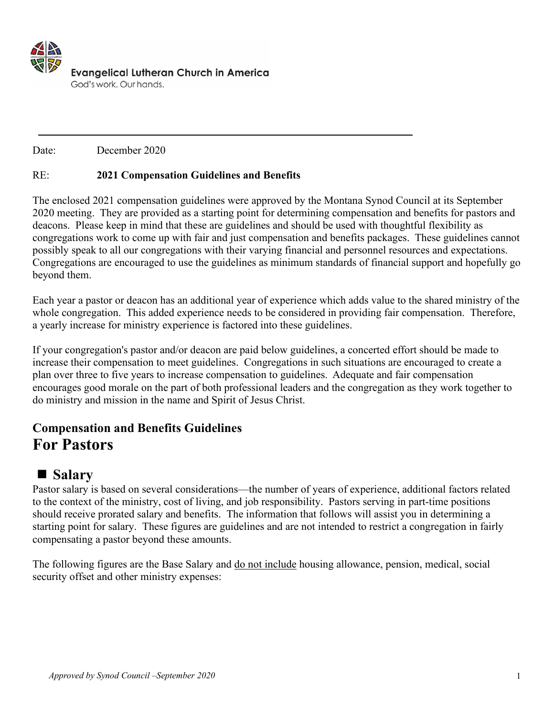

Date: December 2020

#### RE: **2021 Compensation Guidelines and Benefits**

The enclosed 2021 compensation guidelines were approved by the Montana Synod Council at its September 2020 meeting. They are provided as a starting point for determining compensation and benefits for pastors and deacons. Please keep in mind that these are guidelines and should be used with thoughtful flexibility as congregations work to come up with fair and just compensation and benefits packages. These guidelines cannot possibly speak to all our congregations with their varying financial and personnel resources and expectations. Congregations are encouraged to use the guidelines as minimum standards of financial support and hopefully go beyond them.

Each year a pastor or deacon has an additional year of experience which adds value to the shared ministry of the whole congregation. This added experience needs to be considered in providing fair compensation. Therefore, a yearly increase for ministry experience is factored into these guidelines.

If your congregation's pastor and/or deacon are paid below guidelines, a concerted effort should be made to increase their compensation to meet guidelines. Congregations in such situations are encouraged to create a plan over three to five years to increase compensation to guidelines. Adequate and fair compensation encourages good morale on the part of both professional leaders and the congregation as they work together to do ministry and mission in the name and Spirit of Jesus Christ.

### **Compensation and Benefits Guidelines For Pastors**

### ■ Salary

Pastor salary is based on several considerations—the number of years of experience, additional factors related to the context of the ministry, cost of living, and job responsibility. Pastors serving in part-time positions should receive prorated salary and benefits. The information that follows will assist you in determining a starting point for salary. These figures are guidelines and are not intended to restrict a congregation in fairly compensating a pastor beyond these amounts.

The following figures are the Base Salary and do not include housing allowance, pension, medical, social security offset and other ministry expenses: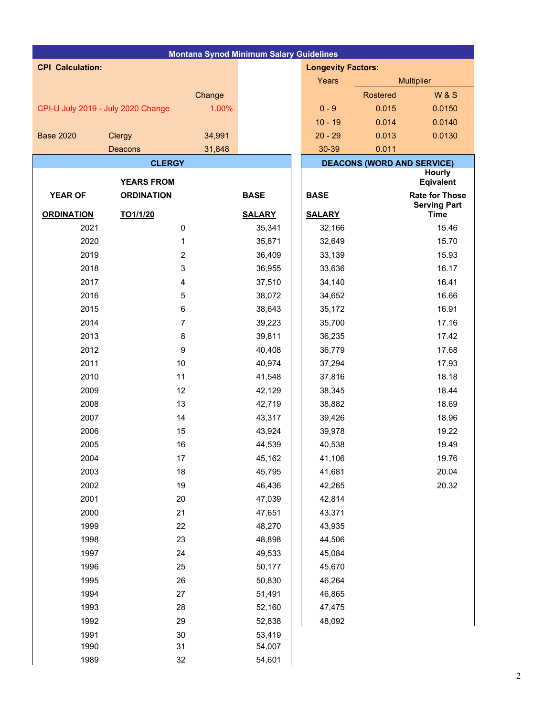| <b>Montana Synod Minimum Salary Guidelines</b> |                   |        |               |  |                           |                 |                                   |  |  |
|------------------------------------------------|-------------------|--------|---------------|--|---------------------------|-----------------|-----------------------------------|--|--|
| <b>CPI Calculation:</b>                        |                   |        |               |  | <b>Longevity Factors:</b> |                 |                                   |  |  |
|                                                |                   |        |               |  | Years                     |                 | <b>Multiplier</b>                 |  |  |
|                                                |                   | Change |               |  |                           | <b>Rostered</b> | <b>W&amp;S</b>                    |  |  |
| CPI-U July 2019 - July 2020 Change             |                   | 1.00%  |               |  | $0 - 9$                   | 0.015           | 0.0150                            |  |  |
|                                                |                   |        |               |  | $10 - 19$                 | 0.014           | 0.0140                            |  |  |
| <b>Base 2020</b>                               | Clergy            | 34,991 |               |  | $20 - 29$                 | 0.013           | 0.0130                            |  |  |
|                                                | Deacons           | 31,848 |               |  | 30-39                     | 0.011           |                                   |  |  |
|                                                | <b>CLERGY</b>     |        |               |  |                           |                 | <b>DEACONS (WORD AND SERVICE)</b> |  |  |
|                                                | <b>YEARS FROM</b> |        |               |  |                           |                 | <b>Hourly</b><br><b>Eqivalent</b> |  |  |
| <b>YEAR OF</b>                                 | <b>ORDINATION</b> |        | <b>BASE</b>   |  | <b>BASE</b>               |                 | <b>Rate for Those</b>             |  |  |
|                                                |                   |        |               |  |                           |                 | <b>Serving Part</b>               |  |  |
| <b>ORDINATION</b>                              | TO1/1/20          |        | <b>SALARY</b> |  | <b>SALARY</b>             |                 | <b>Time</b>                       |  |  |
| 2021                                           | 0                 |        | 35,341        |  | 32,166                    |                 | 15.46                             |  |  |
| 2020                                           | 1                 |        | 35,871        |  | 32,649                    |                 | 15.70                             |  |  |
| 2019                                           | $\boldsymbol{2}$  |        | 36,409        |  | 33,139                    |                 | 15.93                             |  |  |
| 2018                                           | 3                 |        | 36,955        |  | 33,636                    |                 | 16.17                             |  |  |
| 2017                                           | $\overline{4}$    |        | 37,510        |  | 34,140                    |                 | 16.41                             |  |  |
| 2016                                           | 5                 |        | 38,072        |  | 34,652                    |                 | 16.66                             |  |  |
| 2015                                           | $\,6$             |        | 38,643        |  | 35,172                    |                 | 16.91                             |  |  |
| 2014                                           | $\overline{7}$    |        | 39,223        |  | 35,700                    |                 | 17.16                             |  |  |
| 2013                                           | 8                 |        | 39,811        |  | 36,235                    |                 | 17.42                             |  |  |
| 2012                                           | $\boldsymbol{9}$  |        | 40,408        |  | 36,779                    |                 | 17.68                             |  |  |
| 2011                                           | 10                |        | 40,974        |  | 37,294                    |                 | 17.93                             |  |  |
| 2010                                           | 11                |        | 41,548        |  | 37,816                    |                 | 18.18                             |  |  |
| 2009                                           | 12                |        | 42,129        |  | 38,345                    |                 | 18.44                             |  |  |
| 2008                                           | 13                |        | 42,719        |  | 38,882                    |                 | 18.69                             |  |  |
| 2007                                           | 14                |        | 43,317        |  | 39,426                    |                 | 18.96                             |  |  |
| 2006                                           | 15                |        | 43,924        |  | 39,978                    |                 | 19.22                             |  |  |
| 2005                                           | 16                |        | 44,539        |  | 40,538                    |                 | 19.49                             |  |  |
| 2004                                           | 17                |        | 45,162        |  | 41,106                    |                 | 19.76                             |  |  |
| 2003                                           | 18                |        | 45,795        |  | 41,681                    |                 | 20.04                             |  |  |
| 2002                                           | 19                |        | 46,436        |  | 42,265                    |                 | 20.32                             |  |  |
| 2001                                           | 20                |        | 47,039        |  | 42,814                    |                 |                                   |  |  |
| 2000                                           | 21                |        | 47,651        |  | 43,371                    |                 |                                   |  |  |
| 1999                                           | 22                |        | 48,270        |  | 43,935                    |                 |                                   |  |  |
| 1998                                           | 23                |        | 48,898        |  | 44,506                    |                 |                                   |  |  |
| 1997                                           | 24                |        | 49,533        |  | 45,084                    |                 |                                   |  |  |
| 1996                                           | 25                |        | 50,177        |  | 45,670                    |                 |                                   |  |  |
| 1995                                           | 26                |        | 50,830        |  | 46,264                    |                 |                                   |  |  |
| 1994                                           | 27                |        | 51,491        |  | 46,865                    |                 |                                   |  |  |
| 1993                                           | 28                |        | 52,160        |  | 47,475                    |                 |                                   |  |  |
| 1992                                           | 29                |        | 52,838        |  | 48,092                    |                 |                                   |  |  |
| 1991                                           | $30\,$            |        | 53,419        |  |                           |                 |                                   |  |  |
| 1990                                           | 31                |        | 54,007        |  |                           |                 |                                   |  |  |
| 1989                                           | 32                |        | 54,601        |  |                           |                 |                                   |  |  |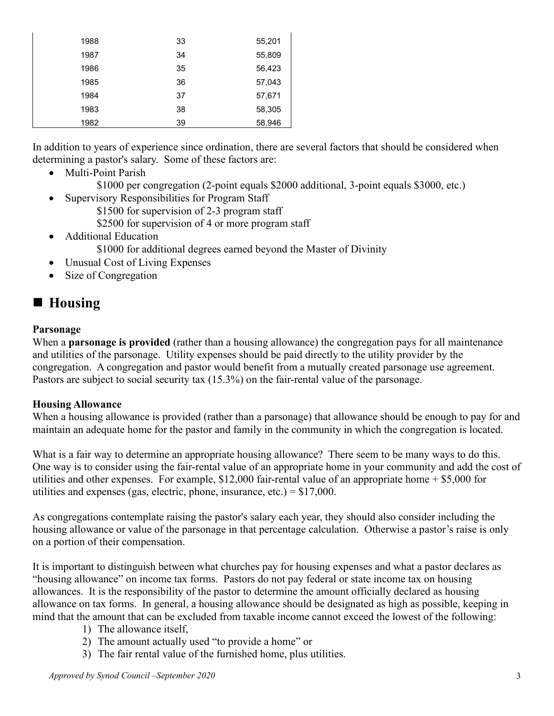| 1988 | 33 | 55,201 |
|------|----|--------|
| 1987 | 34 | 55,809 |
| 1986 | 35 | 56,423 |
| 1985 | 36 | 57,043 |
| 1984 | 37 | 57,671 |
| 1983 | 38 | 58,305 |
| 1982 | 39 | 58,946 |

In addition to years of experience since ordination, there are several factors that should be considered when determining a pastor's salary. Some of these factors are:

- Multi-Point Parish
	- \$1000 per congregation (2-point equals \$2000 additional, 3-point equals \$3000, etc.)
- Supervisory Responsibilities for Program Staff
	- \$1500 for supervision of 2-3 program staff
	- \$2500 for supervision of 4 or more program staff
- Additional Education \$1000 for additional degrees earned beyond the Master of Divinity
- Unusual Cost of Living Expenses
- Size of Congregation

### **Housing**

#### **Parsonage**

When a **parsonage is provided** (rather than a housing allowance) the congregation pays for all maintenance and utilities of the parsonage. Utility expenses should be paid directly to the utility provider by the congregation. A congregation and pastor would benefit from a mutually created parsonage use agreement. Pastors are subject to social security tax (15.3%) on the fair-rental value of the parsonage.

### **Housing Allowance**

When a housing allowance is provided (rather than a parsonage) that allowance should be enough to pay for and maintain an adequate home for the pastor and family in the community in which the congregation is located.

What is a fair way to determine an appropriate housing allowance? There seem to be many ways to do this. One way is to consider using the fair-rental value of an appropriate home in your community and add the cost of utilities and other expenses. For example,  $$12,000$  fair-rental value of an appropriate home  $+ $5,000$  for utilities and expenses (gas, electric, phone, insurance, etc.) =  $$17,000$ .

As congregations contemplate raising the pastor's salary each year, they should also consider including the housing allowance or value of the parsonage in that percentage calculation. Otherwise a pastor's raise is only on a portion of their compensation.

It is important to distinguish between what churches pay for housing expenses and what a pastor declares as "housing allowance" on income tax forms. Pastors do not pay federal or state income tax on housing allowances. It is the responsibility of the pastor to determine the amount officially declared as housing allowance on tax forms. In general, a housing allowance should be designated as high as possible, keeping in mind that the amount that can be excluded from taxable income cannot exceed the lowest of the following:

- 1) The allowance itself,
- 2) The amount actually used "to provide a home" or
- 3) The fair rental value of the furnished home, plus utilities.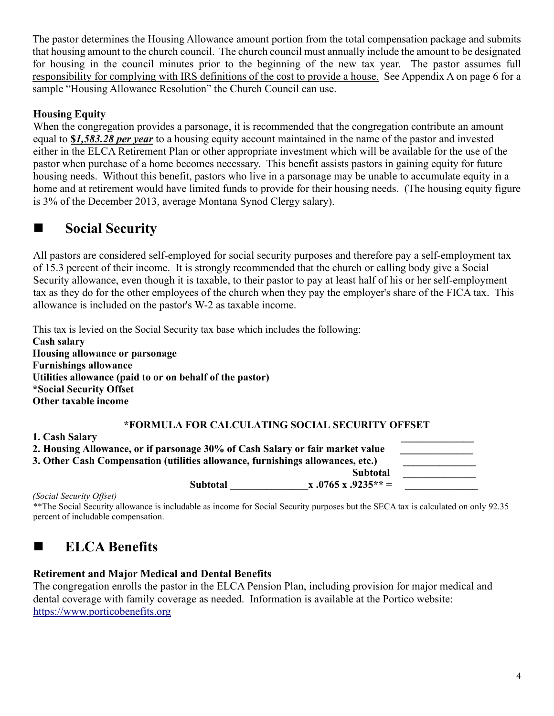The pastor determines the Housing Allowance amount portion from the total compensation package and submits that housing amount to the church council. The church council must annually include the amount to be designated for housing in the council minutes prior to the beginning of the new tax year. The pastor assumes full responsibility for complying with IRS definitions of the cost to provide a house. See Appendix A on page 6 for a sample "Housing Allowance Resolution" the Church Council can use.

### **Housing Equity**

When the congregation provides a parsonage, it is recommended that the congregation contribute an amount equal to **\$***1,583.28 per year* to a housing equity account maintained in the name of the pastor and invested either in the ELCA Retirement Plan or other appropriate investment which will be available for the use of the pastor when purchase of a home becomes necessary. This benefit assists pastors in gaining equity for future housing needs. Without this benefit, pastors who live in a parsonage may be unable to accumulate equity in a home and at retirement would have limited funds to provide for their housing needs. (The housing equity figure is 3% of the December 2013, average Montana Synod Clergy salary).

# ■ Social Security

All pastors are considered self-employed for social security purposes and therefore pay a self-employment tax of 15.3 percent of their income. It is strongly recommended that the church or calling body give a Social Security allowance, even though it is taxable, to their pastor to pay at least half of his or her self-employment tax as they do for the other employees of the church when they pay the employer's share of the FICA tax. This allowance is included on the pastor's W-2 as taxable income.

This tax is levied on the Social Security tax base which includes the following: **Cash salary Housing allowance or parsonage Furnishings allowance Utilities allowance (paid to or on behalf of the pastor) \*Social Security Offset Other taxable income**

### **\*FORMULA FOR CALCULATING SOCIAL SECURITY OFFSET**

**1. Cash Salary \_\_\_\_\_\_\_\_\_\_\_\_\_\_**  2. Housing Allowance, or if parsonage 30% of Cash Salary or fair market value 3. Other Cash Compensation (utilities allowance, furnishings allowances, etc.)  **Subtotal \_\_\_\_\_\_\_\_\_\_\_\_\_\_ Subtotal**  $x .0765 x .9235** =$ 

*(Social Security Offset)* 

\*\*The Social Security allowance is includable as income for Social Security purposes but the SECA tax is calculated on only 92.35 percent of includable compensation.

# **ELCA Benefits**

### **Retirement and Major Medical and Dental Benefits**

The congregation enrolls the pastor in the ELCA Pension Plan, including provision for major medical and dental coverage with family coverage as needed. Information is available at the Portico website: [https://www.porticobenefits.org](https://www.porticobenefits.org/)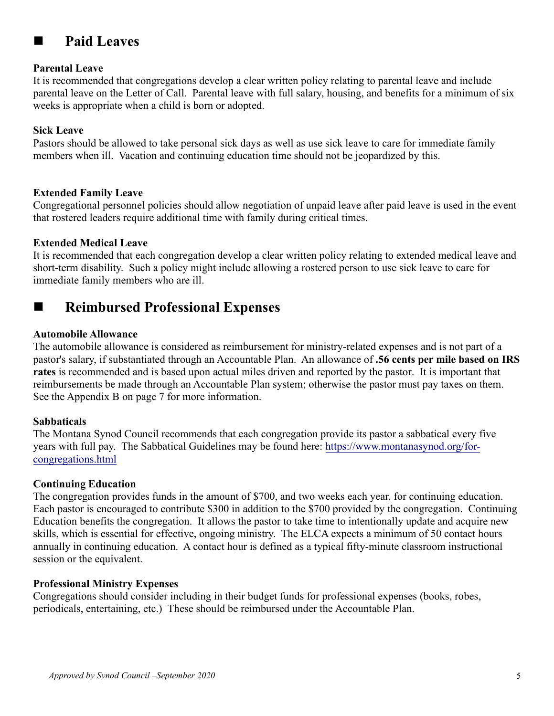

# **Paid Leaves**

### **Parental Leave**

It is recommended that congregations develop a clear written policy relating to parental leave and include parental leave on the Letter of Call. Parental leave with full salary, housing, and benefits for a minimum of six weeks is appropriate when a child is born or adopted.

### **Sick Leave**

Pastors should be allowed to take personal sick days as well as use sick leave to care for immediate family members when ill. Vacation and continuing education time should not be jeopardized by this.

### **Extended Family Leave**

Congregational personnel policies should allow negotiation of unpaid leave after paid leave is used in the event that rostered leaders require additional time with family during critical times.

### **Extended Medical Leave**

It is recommended that each congregation develop a clear written policy relating to extended medical leave and short-term disability. Such a policy might include allowing a rostered person to use sick leave to care for immediate family members who are ill.

# **Reimbursed Professional Expenses**

### **Automobile Allowance**

The automobile allowance is considered as reimbursement for ministry-related expenses and is not part of a pastor's salary, if substantiated through an Accountable Plan. An allowance of **.56 cents per mile based on IRS rates** is recommended and is based upon actual miles driven and reported by the pastor. It is important that reimbursements be made through an Accountable Plan system; otherwise the pastor must pay taxes on them. See the Appendix B on page 7 for more information.

### **Sabbaticals**

The Montana Synod Council recommends that each congregation provide its pastor a sabbatical every five years with full pay. The Sabbatical Guidelines may be found here: [https://www.montanasynod.org/for](https://www.montanasynod.org/for-congregations.html)[congregations.html](https://www.montanasynod.org/for-congregations.html)

### **Continuing Education**

The congregation provides funds in the amount of \$700, and two weeks each year, for continuing education. Each pastor is encouraged to contribute \$300 in addition to the \$700 provided by the congregation. Continuing Education benefits the congregation. It allows the pastor to take time to intentionally update and acquire new skills, which is essential for effective, ongoing ministry. The ELCA expects a minimum of 50 contact hours annually in continuing education. A contact hour is defined as a typical fifty-minute classroom instructional session or the equivalent.

### **Professional Ministry Expenses**

Congregations should consider including in their budget funds for professional expenses (books, robes, periodicals, entertaining, etc.) These should be reimbursed under the Accountable Plan.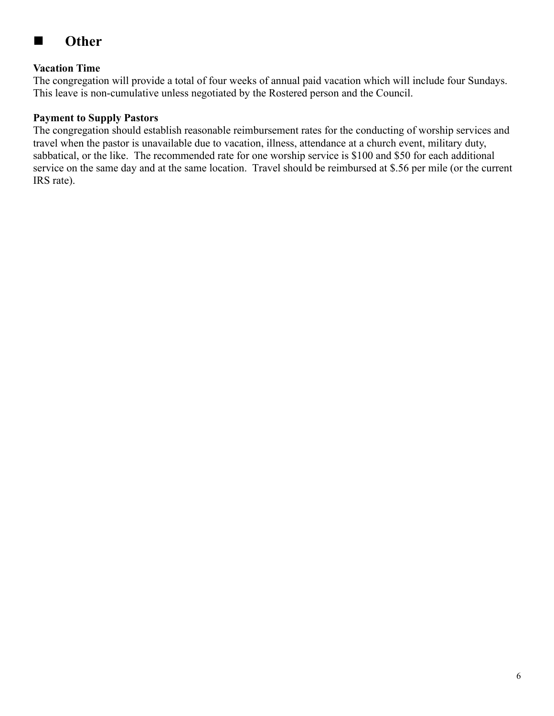# ■ Other

### **Vacation Time**

The congregation will provide a total of four weeks of annual paid vacation which will include four Sundays. This leave is non-cumulative unless negotiated by the Rostered person and the Council.

### **Payment to Supply Pastors**

The congregation should establish reasonable reimbursement rates for the conducting of worship services and travel when the pastor is unavailable due to vacation, illness, attendance at a church event, military duty, sabbatical, or the like. The recommended rate for one worship service is \$100 and \$50 for each additional service on the same day and at the same location. Travel should be reimbursed at \$.56 per mile (or the current IRS rate).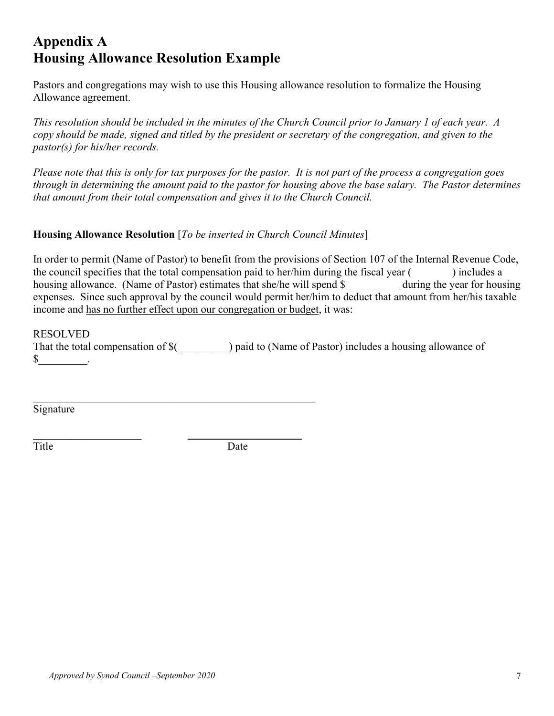# **Appendix A Housing Allowance Resolution Example**

Pastors and congregations may wish to use this Housing allowance resolution to formalize the Housing Allowance agreement.

*This resolution should be included in the minutes of the Church Council prior to January 1 of each year. A copy should be made, signed and titled by the president or secretary of the congregation, and given to the pastor(s) for his/her records.*

*Please note that this is only for tax purposes for the pastor. It is not part of the process a congregation goes through in determining the amount paid to the pastor for housing above the base salary. The Pastor determines that amount from their total compensation and gives it to the Church Council.* 

### **Housing Allowance Resolution** [*To be inserted in Church Council Minutes*]

\_\_\_\_\_\_\_\_\_\_\_\_\_\_\_\_\_\_\_\_\_\_\_\_\_\_\_\_\_\_\_\_\_\_\_\_\_\_\_\_\_\_\_\_\_\_\_\_\_\_\_\_

 $\frac{1}{2}$  , and the set of the set of the set of the set of the set of the set of the set of the set of the set of the set of the set of the set of the set of the set of the set of the set of the set of the set of the set

In order to permit (Name of Pastor) to benefit from the provisions of Section 107 of the Internal Revenue Code, the council specifies that the total compensation paid to her/him during the fiscal year () includes a housing allowance. (Name of Pastor) estimates that she/he will spend \$ during the year for housing expenses. Since such approval by the council would permit her/him to deduct that amount from her/his taxable income and has no further effect upon our congregation or budget, it was:

#### RESOLVED

That the total compensation of  $\$($  ) paid to (Name of Pastor) includes a housing allowance of  $\mathbb{S}$  .

Signature

Title Date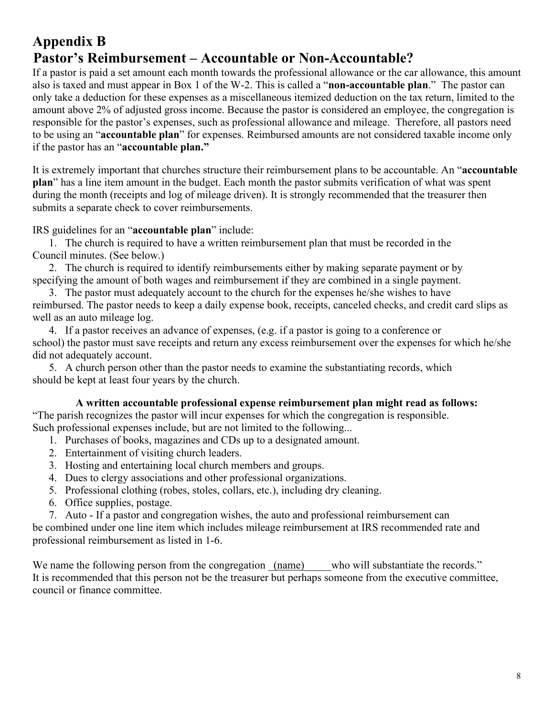# **Appendix B Pastor's Reimbursement – Accountable or Non-Accountable?**

If a pastor is paid a set amount each month towards the professional allowance or the car allowance, this amount also is taxed and must appear in Box 1 of the W-2. This is called a "**non-accountable plan**." The pastor can only take a deduction for these expenses as a miscellaneous itemized deduction on the tax return, limited to the amount above 2% of adjusted gross income. Because the pastor is considered an employee, the congregation is responsible for the pastor's expenses, such as professional allowance and mileage. Therefore, all pastors need to be using an "**accountable plan**" for expenses. Reimbursed amounts are not considered taxable income only if the pastor has an "**accountable plan."**

It is extremely important that churches structure their reimbursement plans to be accountable. An "**accountable plan**" has a line item amount in the budget. Each month the pastor submits verification of what was spent during the month (receipts and log of mileage driven). It is strongly recommended that the treasurer then submits a separate check to cover reimbursements.

IRS guidelines for an "**accountable plan**" include:

1. The church is required to have a written reimbursement plan that must be recorded in the Council minutes. (See below.)

2. The church is required to identify reimbursements either by making separate payment or by specifying the amount of both wages and reimbursement if they are combined in a single payment.

3. The pastor must adequately account to the church for the expenses he/she wishes to have reimbursed. The pastor needs to keep a daily expense book, receipts, canceled checks, and credit card slips as well as an auto mileage log.

4. If a pastor receives an advance of expenses, (e.g. if a pastor is going to a conference or school) the pastor must save receipts and return any excess reimbursement over the expenses for which he/she did not adequately account.

5. A church person other than the pastor needs to examine the substantiating records, which should be kept at least four years by the church.

### **A written accountable professional expense reimbursement plan might read as follows:**

"The parish recognizes the pastor will incur expenses for which the congregation is responsible. Such professional expenses include, but are not limited to the following...

- 1. Purchases of books, magazines and CDs up to a designated amount.
- 2. Entertainment of visiting church leaders.
- 3. Hosting and entertaining local church members and groups.
- 4. Dues to clergy associations and other professional organizations.
- 5. Professional clothing (robes, stoles, collars, etc.), including dry cleaning.
- 6. Office supplies, postage.
- 7. Auto If a pastor and congregation wishes, the auto and professional reimbursement can

be combined under one line item which includes mileage reimbursement at IRS recommended rate and professional reimbursement as listed in 1-6.

We name the following person from the congregation (name) who will substantiate the records." It is recommended that this person not be the treasurer but perhaps someone from the executive committee, council or finance committee.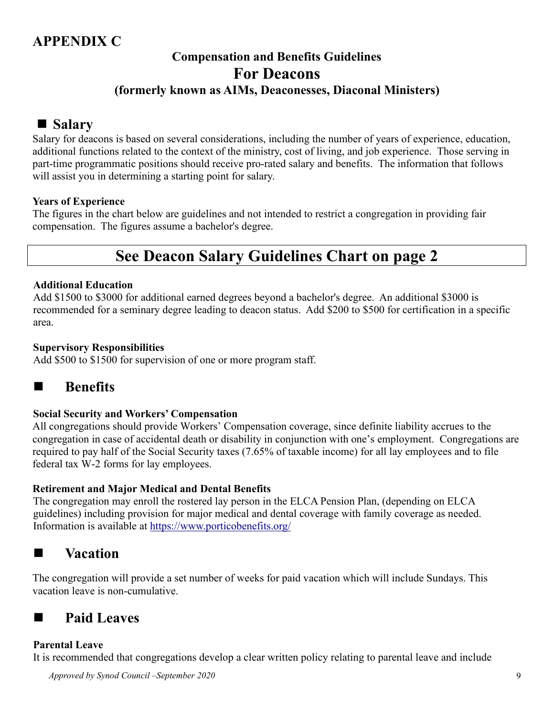# **APPENDIX C**

### **Compensation and Benefits Guidelines For Deacons (formerly known as AIMs, Deaconesses, Diaconal Ministers)**

## **Salary**

Salary for deacons is based on several considerations, including the number of years of experience, education, additional functions related to the context of the ministry, cost of living, and job experience. Those serving in part-time programmatic positions should receive pro-rated salary and benefits. The information that follows will assist you in determining a starting point for salary.

### **Years of Experience**

The figures in the chart below are guidelines and not intended to restrict a congregation in providing fair compensation. The figures assume a bachelor's degree.

# **See Deacon Salary Guidelines Chart on page 2**

### **Additional Education**

Add \$1500 to \$3000 for additional earned degrees beyond a bachelor's degree. An additional \$3000 is recommended for a seminary degree leading to deacon status. Add \$200 to \$500 for certification in a specific area.

### **Supervisory Responsibilities**

Add \$500 to \$1500 for supervision of one or more program staff.

# ■ **Benefits**

### **Social Security and Workers' Compensation**

All congregations should provide Workers' Compensation coverage, since definite liability accrues to the congregation in case of accidental death or disability in conjunction with one's employment. Congregations are required to pay half of the Social Security taxes (7.65% of taxable income) for all lay employees and to file federal tax W-2 forms for lay employees.

### **Retirement and Major Medical and Dental Benefits**

The congregation may enroll the rostered lay person in the ELCA Pension Plan, (depending on ELCA guidelines) including provision for major medical and dental coverage with family coverage as needed. Information is available at <https://www.porticobenefits.org/>

### **Vacation**

The congregation will provide a set number of weeks for paid vacation which will include Sundays. This vacation leave is non-cumulative.

# **Paid Leaves**

### **Parental Leave**

It is recommended that congregations develop a clear written policy relating to parental leave and include